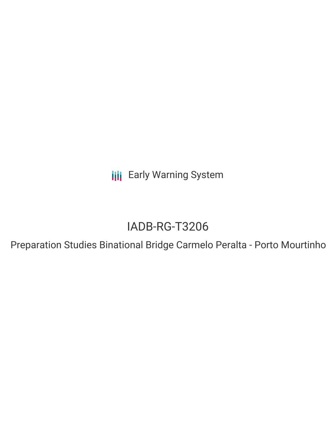**III** Early Warning System

# IADB-RG-T3206

Preparation Studies Binational Bridge Carmelo Peralta - Porto Mourtinho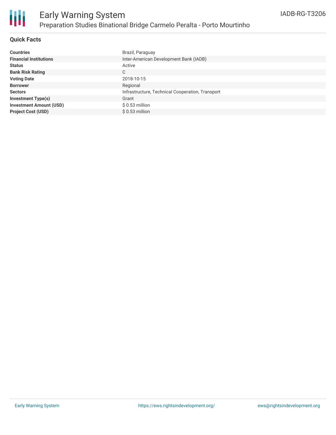

## **Quick Facts**

| <b>Countries</b>               | Brazil, Paraguay                                 |
|--------------------------------|--------------------------------------------------|
| <b>Financial Institutions</b>  | Inter-American Development Bank (IADB)           |
| <b>Status</b>                  | Active                                           |
| <b>Bank Risk Rating</b>        | С                                                |
| <b>Voting Date</b>             | 2018-10-15                                       |
| <b>Borrower</b>                | Regional                                         |
| <b>Sectors</b>                 | Infrastructure, Technical Cooperation, Transport |
| <b>Investment Type(s)</b>      | Grant                                            |
| <b>Investment Amount (USD)</b> | $$0.53$ million                                  |
| <b>Project Cost (USD)</b>      | $$0.53$ million                                  |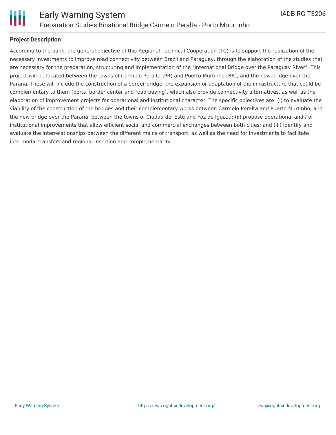

## **Project Description**

According to the bank, the general objective of this Regional Technical Cooperation (TC) is to support the realization of the necessary investments to improve road connectivity between Brazil and Paraguay, through the elaboration of the studies that are necessary for the preparation, structuring and implementation of the "International Bridge over the Paraguay River". This project will be located between the towns of Carmelo Peralta (PR) and Puerto Murtinho (BR), and the new bridge over the Parana. These will include the construction of a border bridge, the expansion or adaptation of the infrastructure that could be complementary to them (ports, border center and road paving), which also provide connectivity alternatives, as well as the elaboration of improvement projects for operational and institutional character. The specific objectives are: (i) to evaluate the viability of the construction of the bridges and their complementary works between Carmelo Peralta and Puerto Murtinho, and the new bridge over the Paraná, between the towns of Ciudad del Este and Foz de Iguazú; (ii) propose operational and / or institutional improvements that allow efficient social and commercial exchanges between both cities; and (iii) identify and evaluate the interrelationships between the different mains of transport, as well as the need for investments to facilitate intermodal transfers and regional insertion and complementarity.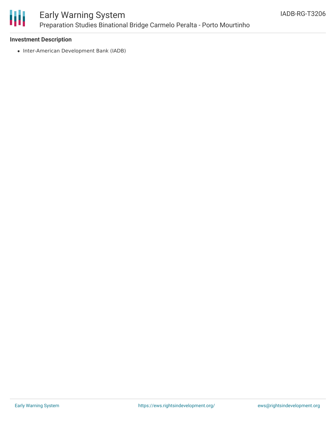

## Early Warning System Preparation Studies Binational Bridge Carmelo Peralta - Porto Mourtinho

#### **Investment Description**

• Inter-American Development Bank (IADB)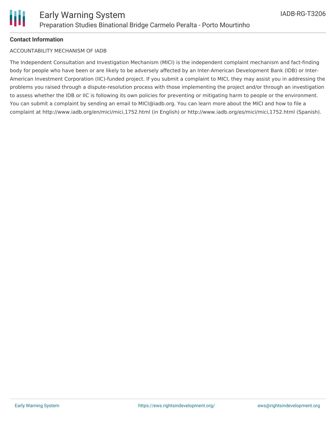

#### **Contact Information**

#### ACCOUNTABILITY MECHANISM OF IADB

The Independent Consultation and Investigation Mechanism (MICI) is the independent complaint mechanism and fact-finding body for people who have been or are likely to be adversely affected by an Inter-American Development Bank (IDB) or Inter-American Investment Corporation (IIC)-funded project. If you submit a complaint to MICI, they may assist you in addressing the problems you raised through a dispute-resolution process with those implementing the project and/or through an investigation to assess whether the IDB or IIC is following its own policies for preventing or mitigating harm to people or the environment. You can submit a complaint by sending an email to MICI@iadb.org. You can learn more about the MICI and how to file a complaint at http://www.iadb.org/en/mici/mici,1752.html (in English) or http://www.iadb.org/es/mici/mici,1752.html (Spanish).